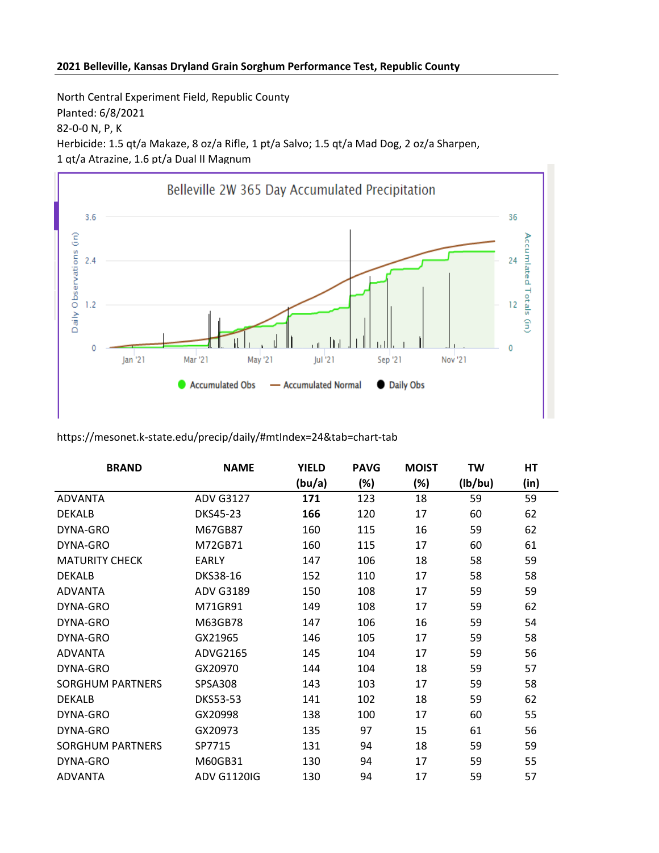## **2021 Belleville, Kansas Dryland Grain Sorghum Performance Test, Republic County**

North Central Experiment Field, Republic County Planted: 6/8/2021 82-0-0 N, P, K Herbicide: 1.5 qt/a Makaze, 8 oz/a Rifle, 1 pt/a Salvo; 1.5 qt/a Mad Dog, 2 oz/a Sharpen, 1 qt/a Atrazine, 1.6 pt/a Dual II Magnum



## https://mesonet.k-state.edu/precip/daily/#mtIndex=24&tab=chart-tab

| <b>BRAND</b>            | <b>NAME</b>        | <b>YIELD</b> | <b>PAVG</b> | <b>MOIST</b> | TW      | HT   |
|-------------------------|--------------------|--------------|-------------|--------------|---------|------|
|                         |                    | (bu/a)       | (%)         | (%)          | (lb/bu) | (in) |
| <b>ADVANTA</b>          | <b>ADV G3127</b>   | 171          | 123         | 18           | 59      | 59   |
| <b>DEKALB</b>           | DKS45-23           | 166          | 120         | 17           | 60      | 62   |
| DYNA-GRO                | M67GB87            | 160          | 115         | 16           | 59      | 62   |
| DYNA-GRO                | M72GB71            | 160          | 115         | 17           | 60      | 61   |
| <b>MATURITY CHECK</b>   | <b>EARLY</b>       | 147          | 106         | 18           | 58      | 59   |
| <b>DEKALB</b>           | DKS38-16           | 152          | 110         | 17           | 58      | 58   |
| <b>ADVANTA</b>          | <b>ADV G3189</b>   | 150          | 108         | 17           | 59      | 59   |
| DYNA-GRO                | M71GR91            | 149          | 108         | 17           | 59      | 62   |
| DYNA-GRO                | M63GB78            | 147          | 106         | 16           | 59      | 54   |
| DYNA-GRO                | GX21965            | 146          | 105         | 17           | 59      | 58   |
| <b>ADVANTA</b>          | ADVG2165           | 145          | 104         | 17           | 59      | 56   |
| DYNA-GRO                | GX20970            | 144          | 104         | 18           | 59      | 57   |
| <b>SORGHUM PARTNERS</b> | <b>SPSA308</b>     | 143          | 103         | 17           | 59      | 58   |
| <b>DEKALB</b>           | <b>DKS53-53</b>    | 141          | 102         | 18           | 59      | 62   |
| DYNA-GRO                | GX20998            | 138          | 100         | 17           | 60      | 55   |
| DYNA-GRO                | GX20973            | 135          | 97          | 15           | 61      | 56   |
| <b>SORGHUM PARTNERS</b> | SP7715             | 131          | 94          | 18           | 59      | 59   |
| DYNA-GRO                | M60GB31            | 130          | 94          | 17           | 59      | 55   |
| <b>ADVANTA</b>          | <b>ADV G1120IG</b> | 130          | 94          | 17           | 59      | 57   |